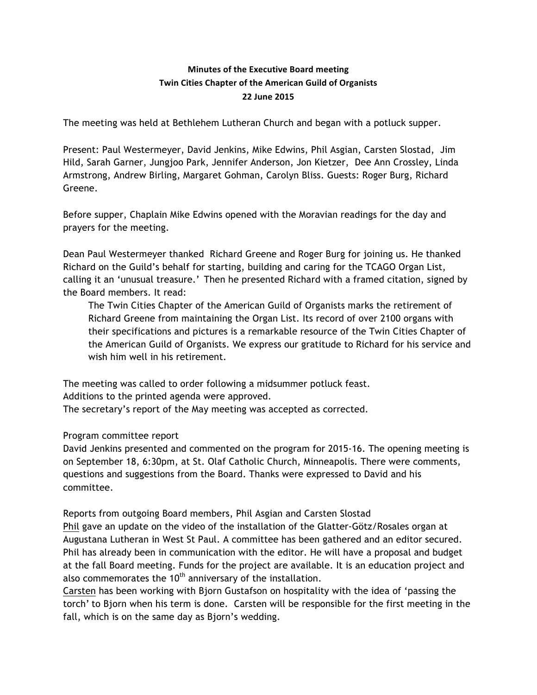# **Minutes of the Executive Board meeting Twin Cities Chapter of the American Guild of Organists 22 June 2015**

The meeting was held at Bethlehem Lutheran Church and began with a potluck supper.

Present: Paul Westermeyer, David Jenkins, Mike Edwins, Phil Asgian, Carsten Slostad, Jim Hild, Sarah Garner, Jungjoo Park, Jennifer Anderson, Jon Kietzer, Dee Ann Crossley, Linda Armstrong, Andrew Birling, Margaret Gohman, Carolyn Bliss. Guests: Roger Burg, Richard Greene.

Before supper, Chaplain Mike Edwins opened with the Moravian readings for the day and prayers for the meeting.

Dean Paul Westermeyer thanked Richard Greene and Roger Burg for joining us. He thanked Richard on the Guild's behalf for starting, building and caring for the TCAGO Organ List, calling it an 'unusual treasure.' Then he presented Richard with a framed citation, signed by the Board members. It read:

The Twin Cities Chapter of the American Guild of Organists marks the retirement of Richard Greene from maintaining the Organ List. Its record of over 2100 organs with their specifications and pictures is a remarkable resource of the Twin Cities Chapter of the American Guild of Organists. We express our gratitude to Richard for his service and wish him well in his retirement.

The meeting was called to order following a midsummer potluck feast. Additions to the printed agenda were approved. The secretary's report of the May meeting was accepted as corrected.

## Program committee report

David Jenkins presented and commented on the program for 2015-16. The opening meeting is on September 18, 6:30pm, at St. Olaf Catholic Church, Minneapolis. There were comments, questions and suggestions from the Board. Thanks were expressed to David and his committee.

Reports from outgoing Board members, Phil Asgian and Carsten Slostad

Phil gave an update on the video of the installation of the Glatter-Götz/Rosales organ at Augustana Lutheran in West St Paul. A committee has been gathered and an editor secured. Phil has already been in communication with the editor. He will have a proposal and budget at the fall Board meeting. Funds for the project are available. It is an education project and also commemorates the  $10<sup>th</sup>$  anniversary of the installation.

Carsten has been working with Bjorn Gustafson on hospitality with the idea of 'passing the torch' to Bjorn when his term is done. Carsten will be responsible for the first meeting in the fall, which is on the same day as Bjorn's wedding.